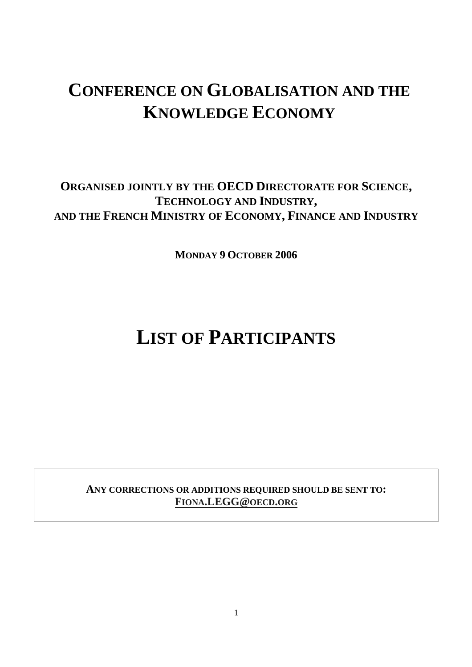## **CONFERENCE ON GLOBALISATION AND THE KNOWLEDGE ECONOMY**

### **ORGANISED JOINTLY BY THE OECD DIRECTORATE FOR SCIENCE, TECHNOLOGY AND INDUSTRY, AND THE FRENCH MINISTRY OF ECONOMY, FINANCE AND INDUSTRY**

**MONDAY 9 OCTOBER 2006** 

# **LIST OF PARTICIPANTS**

**ANY CORRECTIONS OR ADDITIONS REQUIRED SHOULD BE SENT TO: FIONA.LEGG@OECD.ORG**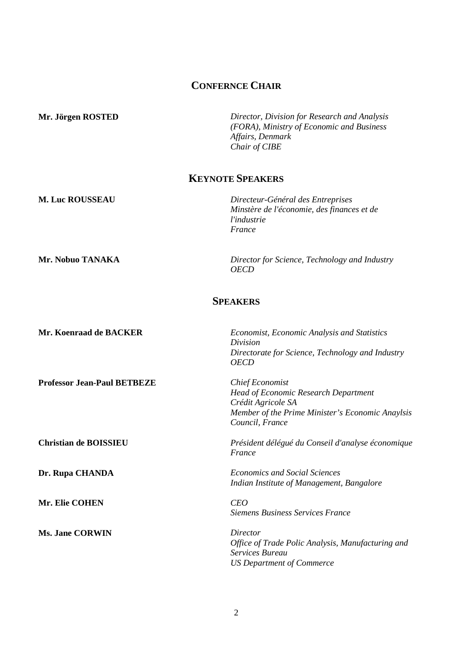#### **CONFERNCE CHAIR**

**Mr. Jörgen ROSTED** *Director, Division for Research and Analysis (FORA), Ministry of Economic and Business Affairs, Denmark Chair of CIBE* 

#### **KEYNOTE SPEAKERS**

**M. Luc ROUSSEAU** *Directeur-Général des Entreprises Minstère de l'économie, des finances et de l'industrie France* 

**Mr. Nobuo TANAKA** *Director for Science, Technology and Industry OECD* 

#### **SPEAKERS**

| Mr. Koenraad de BACKER             | Economist, Economic Analysis and Statistics<br>Division<br>Directorate for Science, Technology and Industry<br><b>OECD</b>                                         |
|------------------------------------|--------------------------------------------------------------------------------------------------------------------------------------------------------------------|
| <b>Professor Jean-Paul BETBEZE</b> | <b>Chief Economist</b><br><b>Head of Economic Research Department</b><br>Crédit Agricole SA<br>Member of the Prime Minister's Economic Anaylsis<br>Council, France |
| <b>Christian de BOISSIEU</b>       | Président délégué du Conseil d'analyse économique<br>France                                                                                                        |
| Dr. Rupa CHANDA                    | <b>Economics and Social Sciences</b><br>Indian Institute of Management, Bangalore                                                                                  |
| Mr. Elie COHEN                     | <b>CEO</b><br><b>Siemens Business Services France</b>                                                                                                              |
| <b>Ms. Jane CORWIN</b>             | Director<br>Office of Trade Polic Analysis, Manufacturing and<br>Services Bureau<br><b>US Department of Commerce</b>                                               |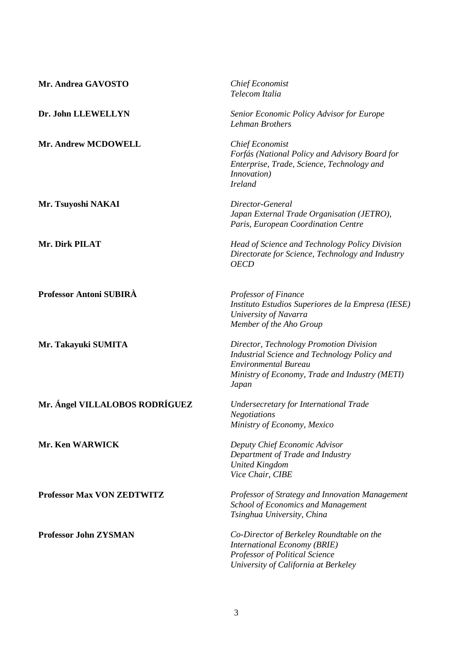| Mr. Andrea GAVOSTO                | <b>Chief Economist</b><br>Telecom Italia                                                                                                                                          |
|-----------------------------------|-----------------------------------------------------------------------------------------------------------------------------------------------------------------------------------|
| Dr. John LLEWELLYN                | Senior Economic Policy Advisor for Europe<br>Lehman Brothers                                                                                                                      |
| Mr. Andrew MCDOWELL               | <b>Chief Economist</b><br>Forfás (National Policy and Advisory Board for<br>Enterprise, Trade, Science, Technology and<br><i>Innovation</i> )<br><b>Ireland</b>                   |
| Mr. Tsuyoshi NAKAI                | Director-General<br>Japan External Trade Organisation (JETRO),<br>Paris, European Coordination Centre                                                                             |
| Mr. Dirk PILAT                    | Head of Science and Technology Policy Division<br>Directorate for Science, Technology and Industry<br><b>OECD</b>                                                                 |
| Professor Antoni SUBIRÀ           | Professor of Finance<br>Instituto Estudios Superiores de la Empresa (IESE)<br>University of Navarra<br>Member of the Aho Group                                                    |
| Mr. Takayuki SUMITA               | Director, Technology Promotion Division<br>Industrial Science and Technology Policy and<br><b>Environmental Bureau</b><br>Ministry of Economy, Trade and Industry (METI)<br>Japan |
| Mr. Ángel VILLALOBOS RODRÍGUEZ    | Undersecretary for International Trade<br><b>Negotiations</b><br>Ministry of Economy, Mexico                                                                                      |
| <b>Mr. Ken WARWICK</b>            | Deputy Chief Economic Advisor<br>Department of Trade and Industry<br><b>United Kingdom</b><br>Vice Chair, CIBE                                                                    |
| <b>Professor Max VON ZEDTWITZ</b> | Professor of Strategy and Innovation Management<br><b>School of Economics and Management</b><br>Tsinghua University, China                                                        |
| <b>Professor John ZYSMAN</b>      | Co-Director of Berkeley Roundtable on the<br>International Economy (BRIE)<br>Professor of Political Science<br>University of California at Berkeley                               |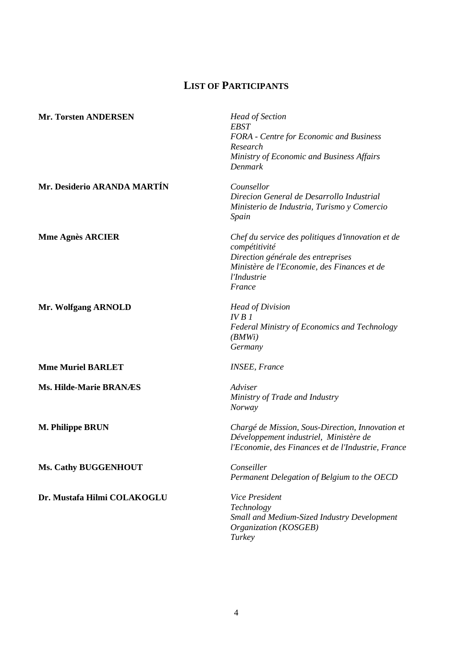## **LIST OF PARTICIPANTS**

| <b>Mr. Torsten ANDERSEN</b>   | <b>Head of Section</b><br><b>EBST</b>                                       |
|-------------------------------|-----------------------------------------------------------------------------|
|                               | FORA - Centre for Economic and Business                                     |
|                               | Research                                                                    |
|                               | Ministry of Economic and Business Affairs                                   |
|                               | Denmark                                                                     |
| Mr. Desiderio ARANDA MARTÍN   | Counsellor                                                                  |
|                               | Direcion General de Desarrollo Industrial                                   |
|                               | Ministerio de Industria, Turismo y Comercio                                 |
|                               | Spain                                                                       |
| <b>Mme Agnès ARCIER</b>       | Chef du service des politiques d'innovation et de<br>compétitivité          |
|                               | Direction générale des entreprises                                          |
|                               | Ministère de l'Economie, des Finances et de                                 |
|                               | l'Industrie                                                                 |
|                               | France                                                                      |
| Mr. Wolfgang ARNOLD           | <b>Head of Division</b>                                                     |
|                               | IVB I                                                                       |
|                               | Federal Ministry of Economics and Technology<br>(BMWi)                      |
|                               | Germany                                                                     |
| <b>Mme Muriel BARLET</b>      | <b>INSEE, France</b>                                                        |
| <b>Ms. Hilde-Marie BRANÆS</b> | Adviser                                                                     |
|                               | Ministry of Trade and Industry                                              |
|                               | <b>Norway</b>                                                               |
| <b>M. Philippe BRUN</b>       | Chargé de Mission, Sous-Direction, Innovation et                            |
|                               | Développement industriel, Ministère de                                      |
|                               | l'Economie, des Finances et de l'Industrie, France                          |
| <b>Ms. Cathy BUGGENHOUT</b>   | Conseiller                                                                  |
|                               | Permanent Delegation of Belgium to the OECD                                 |
| Dr. Mustafa Hilmi COLAKOGLU   | Vice President                                                              |
|                               | Technology                                                                  |
|                               | <b>Small and Medium-Sized Industry Development</b><br>Organization (KOSGEB) |

*Turkey*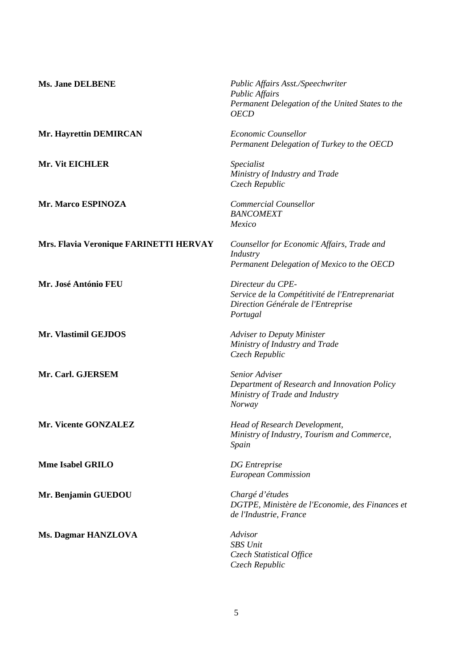| <b>Ms. Jane DELBENE</b>                | Public Affairs Asst./Speechwriter<br><b>Public Affairs</b><br>Permanent Delegation of the United States to the<br><b>OECD</b> |
|----------------------------------------|-------------------------------------------------------------------------------------------------------------------------------|
| Mr. Hayrettin DEMIRCAN                 | Economic Counsellor<br>Permanent Delegation of Turkey to the OECD                                                             |
| Mr. Vit EICHLER                        | Specialist<br>Ministry of Industry and Trade<br>Czech Republic                                                                |
| Mr. Marco ESPINOZA                     | <b>Commercial Counsellor</b><br><b>BANCOMEXT</b><br>Mexico                                                                    |
| Mrs. Flavia Veronique FARINETTI HERVAY | Counsellor for Economic Affairs, Trade and<br>Industry<br>Permanent Delegation of Mexico to the OECD                          |
| Mr. José António FEU                   | Directeur du CPE-<br>Service de la Compétitivité de l'Entreprenariat<br>Direction Générale de l'Entreprise<br>Portugal        |
| Mr. Vlastimil GEJDOS                   | <b>Adviser to Deputy Minister</b><br>Ministry of Industry and Trade<br>Czech Republic                                         |
| Mr. Carl. GJERSEM                      | Senior Adviser<br>Department of Research and Innovation Policy<br>Ministry of Trade and Industry<br>Norway                    |
| Mr. Vicente GONZALEZ                   | Head of Research Development,<br>Ministry of Industry, Tourism and Commerce,<br>Spain                                         |
| <b>Mme Isabel GRILO</b>                | <b>DG</b> Entreprise<br><b>European Commission</b>                                                                            |
| Mr. Benjamin GUEDOU                    | Chargé d'études<br>DGTPE, Ministère de l'Economie, des Finances et<br>de l'Industrie, France                                  |
| <b>Ms. Dagmar HANZLOVA</b>             | Advisor<br><b>SBS</b> Unit<br>Czech Statistical Office<br>Czech Republic                                                      |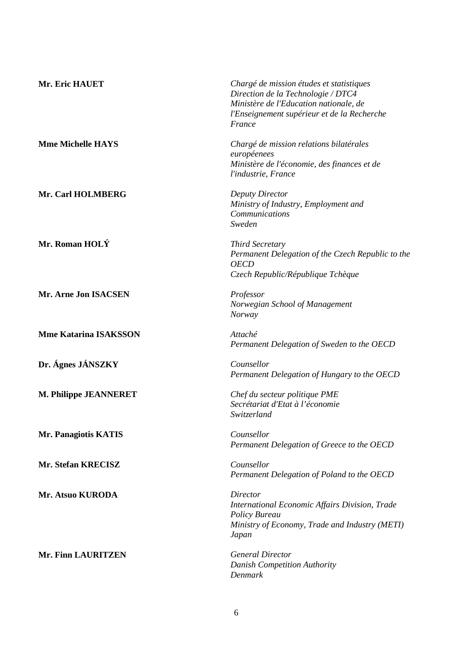| Mr. Eric HAUET               | Chargé de mission études et statistiques<br>Direction de la Technologie / DTC4<br>Ministère de l'Education nationale, de<br>l'Enseignement supérieur et de la Recherche<br>France |
|------------------------------|-----------------------------------------------------------------------------------------------------------------------------------------------------------------------------------|
| <b>Mme Michelle HAYS</b>     | Chargé de mission relations bilatérales<br>européenees<br>Ministère de l'économie, des finances et de<br>l'industrie, France                                                      |
| Mr. Carl HOLMBERG            | <b>Deputy Director</b><br>Ministry of Industry, Employment and<br>Communications<br>Sweden                                                                                        |
| Mr. Roman HOLÝ               | <b>Third Secretary</b><br>Permanent Delegation of the Czech Republic to the<br><b>OECD</b><br>Czech Republic/République Tchèque                                                   |
| Mr. Arne Jon ISACSEN         | Professor<br>Norwegian School of Management<br><b>Norway</b>                                                                                                                      |
| <b>Mme Katarina ISAKSSON</b> | Attaché<br>Permanent Delegation of Sweden to the OECD                                                                                                                             |
| Dr. Ágnes JÁNSZKY            | Counsellor<br>Permanent Delegation of Hungary to the OECD                                                                                                                         |
| M. Philippe JEANNERET        | Chef du secteur politique PME<br>Secrétariat d'Etat à l'économie<br>Switzerland                                                                                                   |
| <b>Mr. Panagiotis KATIS</b>  | Counsellor<br>Permanent Delegation of Greece to the OECD                                                                                                                          |
| Mr. Stefan KRECISZ           | Counsellor<br>Permanent Delegation of Poland to the OECD                                                                                                                          |
| Mr. Atsuo KURODA             | Director<br>International Economic Affairs Division, Trade<br><b>Policy Bureau</b><br>Ministry of Economy, Trade and Industry (METI)<br>Japan                                     |
| Mr. Finn LAURITZEN           | <b>General Director</b><br><b>Danish Competition Authority</b><br>Denmark                                                                                                         |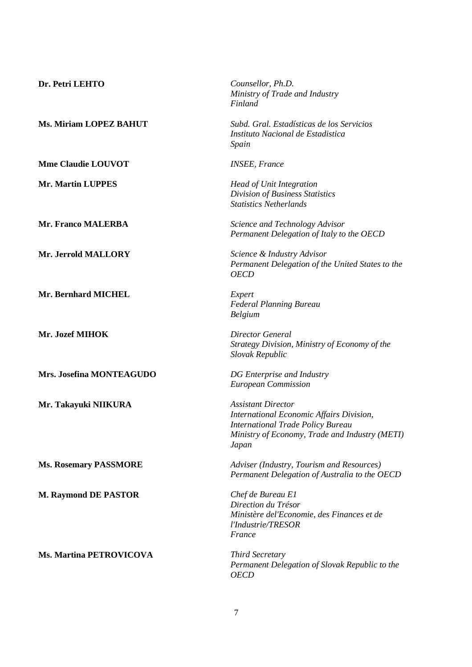| Dr. Petri LEHTO                | Counsellor, Ph.D.<br>Ministry of Trade and Industry<br>Finland                                                                                                               |
|--------------------------------|------------------------------------------------------------------------------------------------------------------------------------------------------------------------------|
| <b>Ms. Miriam LOPEZ BAHUT</b>  | Subd. Gral. Estadísticas de los Servicios<br>Instituto Nacional de Estadistica<br>Spain                                                                                      |
| <b>Mme Claudie LOUVOT</b>      | <b>INSEE, France</b>                                                                                                                                                         |
| <b>Mr. Martin LUPPES</b>       | <b>Head of Unit Integration</b><br>Division of Business Statistics<br><b>Statistics Netherlands</b>                                                                          |
| <b>Mr. Franco MALERBA</b>      | Science and Technology Advisor<br>Permanent Delegation of Italy to the OECD                                                                                                  |
| Mr. Jerrold MALLORY            | Science & Industry Advisor<br>Permanent Delegation of the United States to the<br><b>OECD</b>                                                                                |
| Mr. Bernhard MICHEL            | Expert<br><b>Federal Planning Bureau</b><br><b>Belgium</b>                                                                                                                   |
| Mr. Jozef MIHOK                | Director General<br>Strategy Division, Ministry of Economy of the<br>Slovak Republic                                                                                         |
| Mrs. Josefina MONTEAGUDO       | DG Enterprise and Industry<br><b>European Commission</b>                                                                                                                     |
| Mr. Takayuki NIIKURA           | <b>Assistant Director</b><br>International Economic Affairs Division,<br><b>International Trade Policy Bureau</b><br>Ministry of Economy, Trade and Industry (METI)<br>Japan |
| <b>Ms. Rosemary PASSMORE</b>   | Adviser (Industry, Tourism and Resources)<br>Permanent Delegation of Australia to the OECD                                                                                   |
| <b>M. Raymond DE PASTOR</b>    | Chef de Bureau E1<br>Direction du Trésor<br>Ministère del'Economie, des Finances et de<br>l'Industrie/TRESOR<br>France                                                       |
| <b>Ms. Martina PETROVICOVA</b> | <b>Third Secretary</b><br>Permanent Delegation of Slovak Republic to the<br><b>OECD</b>                                                                                      |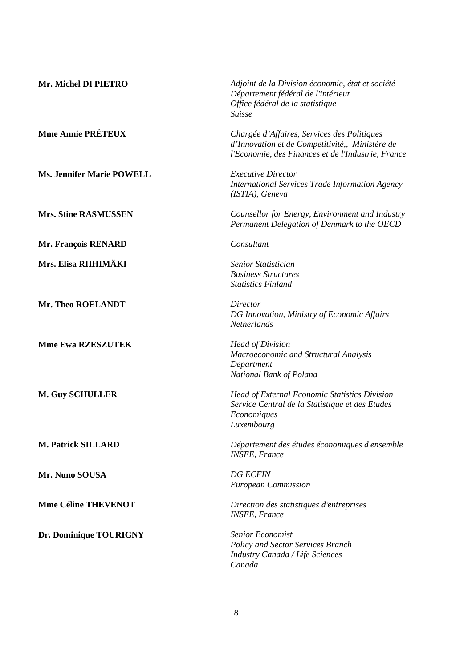| Mr. Michel DI PIETRO             | Adjoint de la Division économie, état et société<br>Département fédéral de l'intérieur<br>Office fédéral de la statistique<br><b>Suisse</b>          |
|----------------------------------|------------------------------------------------------------------------------------------------------------------------------------------------------|
| <b>Mme Annie PRÉTEUX</b>         | Chargée d'Affaires, Services des Politiques<br>d'Innovation et de Competitivité,, Ministère de<br>l'Economie, des Finances et de l'Industrie, France |
| <b>Ms. Jennifer Marie POWELL</b> | <b>Executive Director</b><br><b>International Services Trade Information Agency</b><br>(ISTIA), Geneva                                               |
| <b>Mrs. Stine RASMUSSEN</b>      | Counsellor for Energy, Environment and Industry<br>Permanent Delegation of Denmark to the OECD                                                       |
| Mr. François RENARD              | Consultant                                                                                                                                           |
| Mrs. Elisa RIIHIMÄKI             | Senior Statistician<br><b>Business Structures</b><br><b>Statistics Finland</b>                                                                       |
| Mr. Theo ROELANDT                | Director<br>DG Innovation, Ministry of Economic Affairs<br><b>Netherlands</b>                                                                        |
| <b>Mme Ewa RZESZUTEK</b>         | <b>Head of Division</b><br>Macroeconomic and Structural Analysis<br>Department<br>National Bank of Poland                                            |
| <b>M. Guy SCHULLER</b>           | <b>Head of External Economic Statistics Division</b><br>Service Central de la Statistique et des Etudes<br>Economiques<br>Luxembourg                 |
| <b>M. Patrick SILLARD</b>        | Département des études économiques d'ensemble<br><b>INSEE</b> , France                                                                               |
| Mr. Nuno SOUSA                   | <b>DG ECFIN</b><br><b>European Commission</b>                                                                                                        |
| <b>Mme Céline THEVENOT</b>       | Direction des statistiques d'entreprises<br><b>INSEE</b> , France                                                                                    |
| Dr. Dominique TOURIGNY           | Senior Economist<br><b>Policy and Sector Services Branch</b><br>Industry Canada / Life Sciences<br>Canada                                            |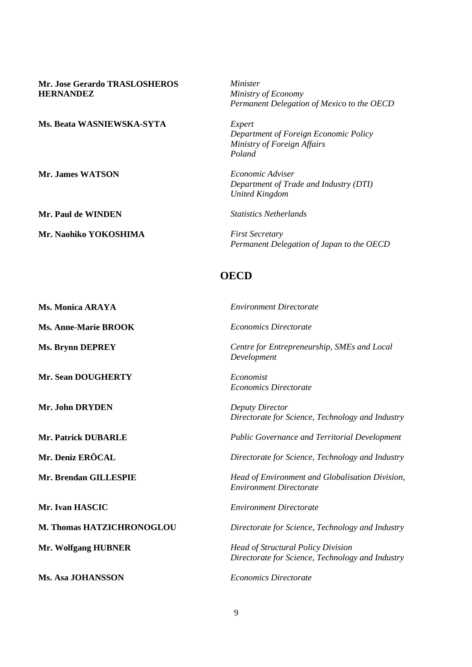| <b>Mr. Jose Gerardo TRASLOSHEROS</b><br><b>HERNANDEZ</b> | Minister<br>Ministry of Economy<br>Permanent Delegation of Mexico to the OECD                 |
|----------------------------------------------------------|-----------------------------------------------------------------------------------------------|
| <b>Ms. Beata WASNIEWSKA-SYTA</b>                         | Expert<br>Department of Foreign Economic Policy<br>Ministry of Foreign Affairs<br>Poland      |
| <b>Mr. James WATSON</b>                                  | Economic Adviser<br>Department of Trade and Industry (DTI)<br><b>United Kingdom</b>           |
| <b>Mr. Paul de WINDEN</b>                                | <b>Statistics Netherlands</b>                                                                 |
| Mr. Naohiko YOKOSHIMA                                    | <b>First Secretary</b><br>Permanent Delegation of Japan to the OECD                           |
|                                                          | <b>OECD</b>                                                                                   |
| <b>Ms. Monica ARAYA</b>                                  | <b>Environment Directorate</b>                                                                |
| <b>Ms. Anne-Marie BROOK</b>                              | <b>Economics Directorate</b>                                                                  |
| <b>Ms. Brynn DEPREY</b>                                  | Centre for Entrepreneurship, SMEs and Local<br>Development                                    |
| <b>Mr. Sean DOUGHERTY</b>                                | Economist<br><b>Economics Directorate</b>                                                     |
| Mr. John DRYDEN                                          | <b>Deputy Director</b><br>Directorate for Science, Technology and Industry                    |
| Mr. Patrick DUBARLE                                      | Public Governance and Territorial Development                                                 |
| <b>Mr. Deniz ERÖCAL</b>                                  | Directorate for Science, Technology and Industry                                              |
| Mr. Brendan GILLESPIE                                    | Head of Environment and Globalisation Division,<br><b>Environment Directorate</b>             |
| Mr. Ivan HASCIC                                          | <b>Environment Directorate</b>                                                                |
| M. Thomas HATZICHRONOGLOU                                | Directorate for Science, Technology and Industry                                              |
| <b>Mr. Wolfgang HUBNER</b>                               | <b>Head of Structural Policy Division</b><br>Directorate for Science, Technology and Industry |
| <b>Ms. Asa JOHANSSON</b>                                 | <b>Economics Directorate</b>                                                                  |